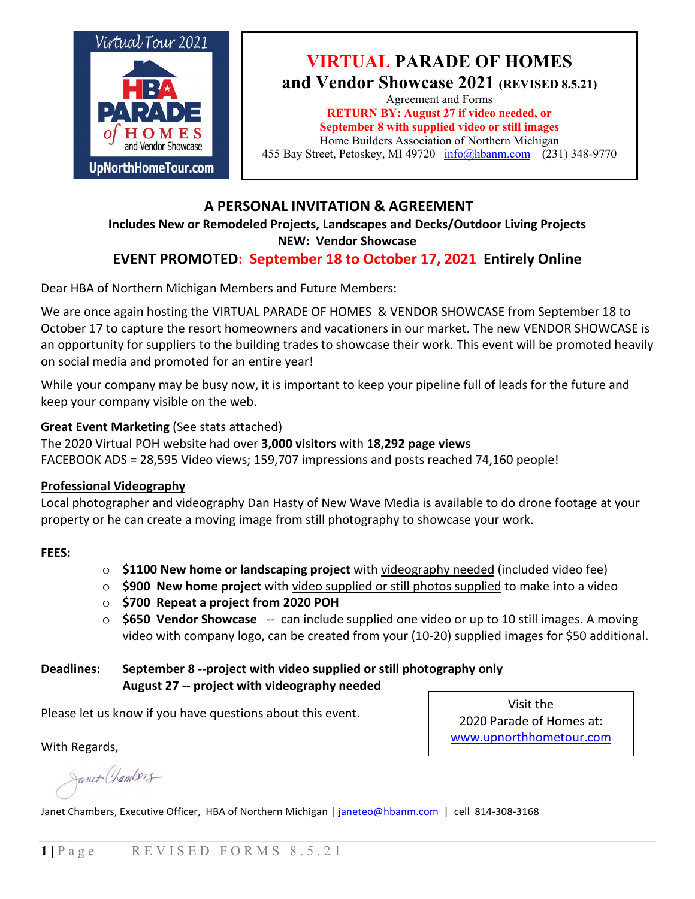

## **VIRTUAL PARADE OF HOMES and Vendor Showcase 2021 (REVISED 8.5.21)**

Agreement and Forms **RETURN BY: August 27 if video needed, or September 8 with supplied video or still images** Home Builders Association of Northern Michigan 455 Bay Street, Petoskey, MI 49720 [info@hbanm.com](mailto:info@hbanm.com) (231) 348-9770

## **A PERSONAL INVITATION & AGREEMENT**

### **Includes New or Remodeled Projects, Landscapes and Decks/Outdoor Living Projects**

**NEW: Vendor Showcase**

## **EVENT PROMOTED: September 18 to October 17, 2021 Entirely Online**

Dear HBA of Northern Michigan Members and Future Members:

We are once again hosting the VIRTUAL PARADE OF HOMES & VENDOR SHOWCASE from September 18 to October 17 to capture the resort homeowners and vacationers in our market. The new VENDOR SHOWCASE is an opportunity for suppliers to the building trades to showcase their work. This event will be promoted heavily on social media and promoted for an entire year!

While your company may be busy now, it is important to keep your pipeline full of leads for the future and keep your company visible on the web.

#### **Great Event Marketing** (See stats attached)

The 2020 Virtual POH website had over **3,000 visitors** with **18,292 page views** FACEBOOK ADS = 28,595 Video views; 159,707 impressions and posts reached 74,160 people!

#### **Professional Videography**

Local photographer and videography Dan Hasty of New Wave Media is available to do drone footage at your property or he can create a moving image from still photography to showcase your work.

#### **FEES:**

- o **\$1100 New home or landscaping project** with videography needed (included video fee)
- o **\$900 New home project** with video supplied or still photos supplied to make into a video
- o **\$700 Repeat a project from 2020 POH**
- o **\$650 Vendor Showcase** -- can include supplied one video or up to 10 still images. A moving video with company logo, can be created from your (10-20) supplied images for \$50 additional.

#### **Deadlines: September 8 --project with video supplied or still photography only August 27 -- project with videography needed**

Please let us know if you have questions about this event.

Visit the 2020 Parade of Homes at: www.upnorthhometour.com

With Regards,

Janet Chambers

Janet Chambers, Executive Officer, HBA of Northern Michigan | [janeteo@hbanm.com](mailto:janeteo@hbanm.com) | cell 814-308-3168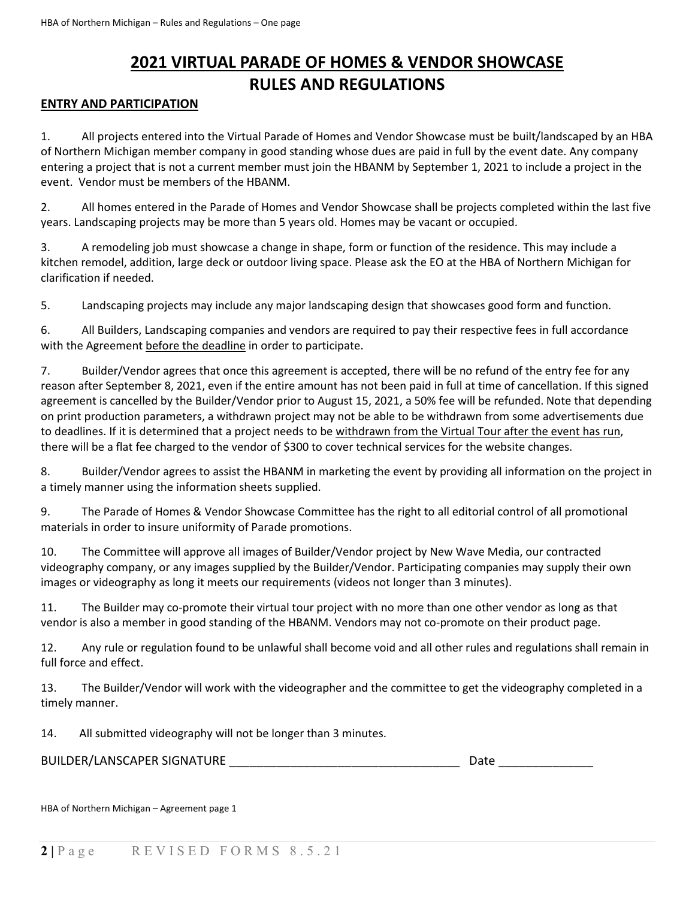# **2021 VIRTUAL PARADE OF HOMES & VENDOR SHOWCASE RULES AND REGULATIONS**

#### **ENTRY AND PARTICIPATION**

1. All projects entered into the Virtual Parade of Homes and Vendor Showcase must be built/landscaped by an HBA of Northern Michigan member company in good standing whose dues are paid in full by the event date. Any company entering a project that is not a current member must join the HBANM by September 1, 2021 to include a project in the event. Vendor must be members of the HBANM.

2. All homes entered in the Parade of Homes and Vendor Showcase shall be projects completed within the last five years. Landscaping projects may be more than 5 years old. Homes may be vacant or occupied.

3. A remodeling job must showcase a change in shape, form or function of the residence. This may include a kitchen remodel, addition, large deck or outdoor living space. Please ask the EO at the HBA of Northern Michigan for clarification if needed.

5. Landscaping projects may include any major landscaping design that showcases good form and function.

6. All Builders, Landscaping companies and vendors are required to pay their respective fees in full accordance with the Agreement before the deadline in order to participate.

7. Builder/Vendor agrees that once this agreement is accepted, there will be no refund of the entry fee for any reason after September 8, 2021, even if the entire amount has not been paid in full at time of cancellation. If this signed agreement is cancelled by the Builder/Vendor prior to August 15, 2021, a 50% fee will be refunded. Note that depending on print production parameters, a withdrawn project may not be able to be withdrawn from some advertisements due to deadlines. If it is determined that a project needs to be withdrawn from the Virtual Tour after the event has run, there will be a flat fee charged to the vendor of \$300 to cover technical services for the website changes.

8. Builder/Vendor agrees to assist the HBANM in marketing the event by providing all information on the project in a timely manner using the information sheets supplied.

9. The Parade of Homes & Vendor Showcase Committee has the right to all editorial control of all promotional materials in order to insure uniformity of Parade promotions.

10. The Committee will approve all images of Builder/Vendor project by New Wave Media, our contracted videography company, or any images supplied by the Builder/Vendor. Participating companies may supply their own images or videography as long it meets our requirements (videos not longer than 3 minutes).

11. The Builder may co-promote their virtual tour project with no more than one other vendor as long as that vendor is also a member in good standing of the HBANM. Vendors may not co-promote on their product page.

12. Any rule or regulation found to be unlawful shall become void and all other rules and regulations shall remain in full force and effect.

13. The Builder/Vendor will work with the videographer and the committee to get the videography completed in a timely manner.

14. All submitted videography will not be longer than 3 minutes.

BUILDER/LANSCAPER SIGNATURE \_\_\_\_\_\_\_\_\_\_\_\_\_\_\_\_\_\_\_\_\_\_\_\_\_\_\_\_\_\_\_\_\_\_ Date \_\_\_\_\_\_\_\_\_\_\_\_\_\_

HBA of Northern Michigan – Agreement page 1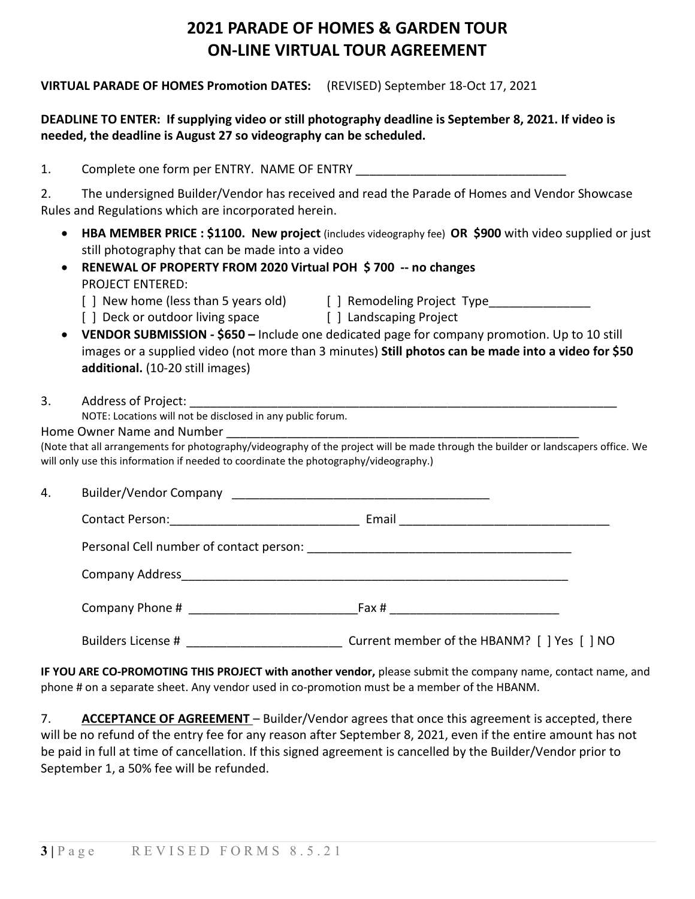# **2021 PARADE OF HOMES & GARDEN TOUR ON-LINE VIRTUAL TOUR AGREEMENT**

#### **VIRTUAL PARADE OF HOMES Promotion DATES:** (REVISED) September 18-Oct 17, 2021

### **DEADLINE TO ENTER: If supplying video or still photography deadline is September 8, 2021. If video is needed, the deadline is August 27 so videography can be scheduled.**

1. Complete one form per ENTRY. NAME OF ENTRY 2. The undersigned Builder/Vendor has received and read the Parade of Homes and Vendor Showcase Rules and Regulations which are incorporated herein. • **HBA MEMBER PRICE : \$1100. New project** (includes videography fee) **OR \$900** with video supplied or just still photography that can be made into a video • **RENEWAL OF PROPERTY FROM 2020 Virtual POH \$ 700 -- no changes** PROJECT ENTERED: [ ] New home (less than 5 years old) [ ] Remodeling Project Type [ ] Deck or outdoor living space [ ] Landscaping Project • **VENDOR SUBMISSION - \$650 –** Include one dedicated page for company promotion. Up to 10 still images or a supplied video (not more than 3 minutes) **Still photos can be made into a video for \$50 additional.** (10-20 still images) 3. Address of Project: NOTE: Locations will not be disclosed in any public forum. Home Owner Name and Number (Note that all arrangements for photography/videography of the project will be made through the builder or landscapers office. We will only use this information if needed to coordinate the photography/videography.) 4. Builder/Vendor Company \_\_\_\_\_\_\_\_\_\_\_\_\_\_\_\_\_\_\_\_\_\_\_\_\_\_\_\_\_\_\_\_\_\_\_\_\_\_ Contact Person: The Contact Person: The Contact Person: The Contact Person is a set of the Contact Person is a set of the Contact Person is a set of the Contact Person is a set of the Contact Person is a set of the Contact Personal Cell number of contact person: **Example 2018** Company Address<br>entering the summary company and the settlement of the settlement of the settlement of the settlement of the s Company Phone # \_\_\_\_\_\_\_\_\_\_\_\_\_\_\_\_\_\_\_\_\_\_\_\_\_Fax # \_\_\_\_\_\_\_\_\_\_\_\_\_\_\_\_\_\_\_\_\_\_\_\_\_ Builders License #  $&$  Current member of the HBANM? [ ] Yes [ ] NO

**IF YOU ARE CO-PROMOTING THIS PROJECT with another vendor,** please submit the company name, contact name, and phone # on a separate sheet. Any vendor used in co-promotion must be a member of the HBANM.

7. **ACCEPTANCE OF AGREEMENT** – Builder/Vendor agrees that once this agreement is accepted, there will be no refund of the entry fee for any reason after September 8, 2021, even if the entire amount has not be paid in full at time of cancellation. If this signed agreement is cancelled by the Builder/Vendor prior to September 1, a 50% fee will be refunded.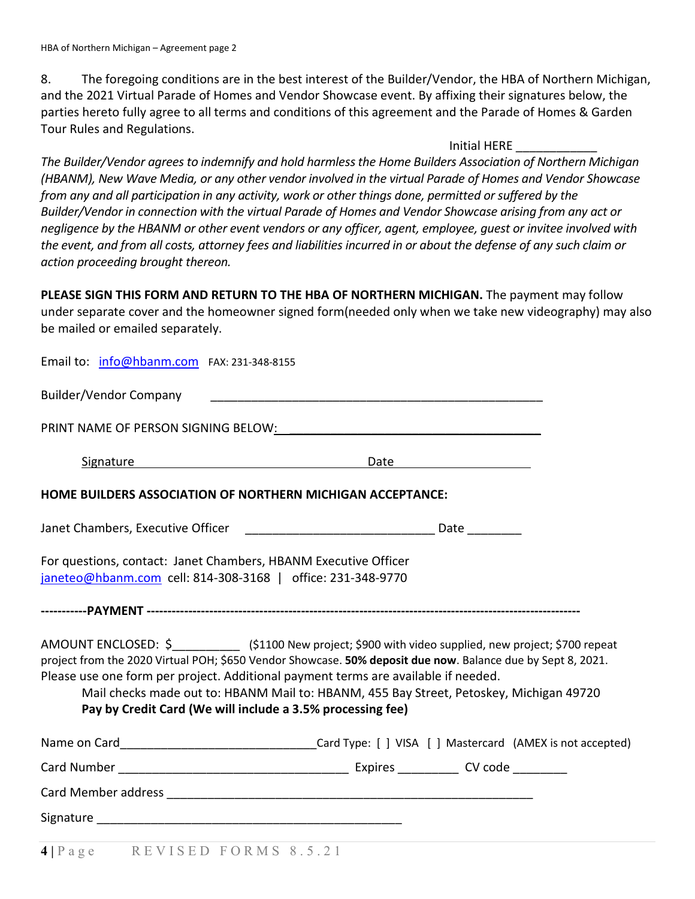8. The foregoing conditions are in the best interest of the Builder/Vendor, the HBA of Northern Michigan, and the 2021 Virtual Parade of Homes and Vendor Showcase event. By affixing their signatures below, the parties hereto fully agree to all terms and conditions of this agreement and the Parade of Homes & Garden Tour Rules and Regulations.

#### Initial HERE \_\_\_\_\_\_\_\_\_\_\_\_

*The Builder/Vendor agrees to indemnify and hold harmlessthe Home Builders Association of Northern Michigan (HBANM), New Wave Media, or any other vendor involved in the virtual Parade of Homes and Vendor Showcase from any and all participation in any activity, work or other things done, permitted or suffered by the Builder/Vendor in connection with the virtual Parade of Homes and Vendor Showcase arising from any act or negligence by the HBANM or other event vendors or any officer, agent, employee, guest or invitee involved with*  the event, and from all costs, attorney fees and liabilities incurred in or about the defense of any such claim or *action proceeding brought thereon.*

**PLEASE SIGN THIS FORM AND RETURN TO THE HBA OF NORTHERN MICHIGAN.** The payment may follow under separate cover and the homeowner signed form(needed only when we take new videography) may also be mailed or emailed separately.

Email to: [info@hbanm.com](mailto:info@hbanm.com) FAX: 231-348-8155

Builder/Vendor Company and the state of the state of the state of the state of the state of the state of the state of the state of the state of the state of the state of the state of the state of the state of the state of

PRINT NAME OF PERSON SIGNING BELOW: \_\_\_\_\_\_\_\_\_\_\_\_\_\_\_\_\_\_\_\_\_\_\_\_\_\_\_\_\_\_\_\_\_\_\_\_\_

Signature Date Date

**HOME BUILDERS ASSOCIATION OF NORTHERN MICHIGAN ACCEPTANCE:**

Janet Chambers, Executive Officer \_\_\_\_\_\_\_\_\_\_\_\_\_\_\_\_\_\_\_\_\_\_\_\_\_\_\_\_ Date \_\_\_\_\_\_\_\_

For questions, contact: Janet Chambers, HBANM Executive Officer [janeteo@hbanm.com](mailto:janeteo@hbanm.com) cell: 814-308-3168 | office: 231-348-9770

**-----------PAYMENT --------------------------------------------------------------------------------------------------------**

AMOUNT ENCLOSED: \$ (\$1100 New project; \$900 with video supplied, new project; \$700 repeat project from the 2020 Virtual POH; \$650 Vendor Showcase. **50% deposit due now**. Balance due by Sept 8, 2021. Please use one form per project. Additional payment terms are available if needed.

Mail checks made out to: HBANM Mail to: HBANM, 455 Bay Street, Petoskey, Michigan 49720 **Pay by Credit Card (We will include a 3.5% processing fee)**

| Name on Card        |                                       | Card Type: [ ] VISA [ ] Mastercard (AMEX is not accepted) |
|---------------------|---------------------------------------|-----------------------------------------------------------|
| Card Number         | Expires ____________CV code _________ |                                                           |
| Card Member address |                                       |                                                           |
| Signature           |                                       |                                                           |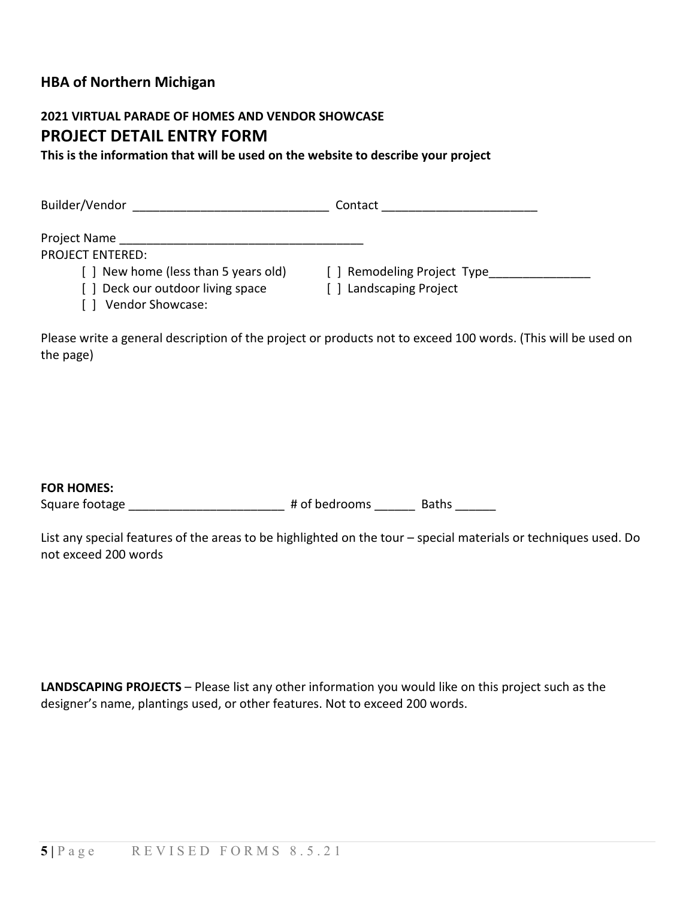## **HBA of Northern Michigan**

### **2021 VIRTUAL PARADE OF HOMES AND VENDOR SHOWCASE PROJECT DETAIL ENTRY FORM**

**This is the information that will be used on the website to describe your project**

| Builder/Vendor                        | Contact                     |
|---------------------------------------|-----------------------------|
| Project Name                          |                             |
| <b>PROJECT ENTERED:</b>               |                             |
| [ ] New home (less than 5 years old)  | [ ] Remodeling Project Type |
| [] Deck our outdoor living space<br>. | [] Landscaping Project      |

[ ] Vendor Showcase:

Please write a general description of the project or products not to exceed 100 words. (This will be used on the page)

#### **FOR HOMES:**

Square footage \_\_\_\_\_\_\_\_\_\_\_\_\_\_\_\_\_\_\_\_\_\_\_\_\_\_ # of bedrooms \_\_\_\_\_\_\_ Baths

List any special features of the areas to be highlighted on the tour – special materials or techniques used. Do not exceed 200 words

**LANDSCAPING PROJECTS** – Please list any other information you would like on this project such as the designer's name, plantings used, or other features. Not to exceed 200 words.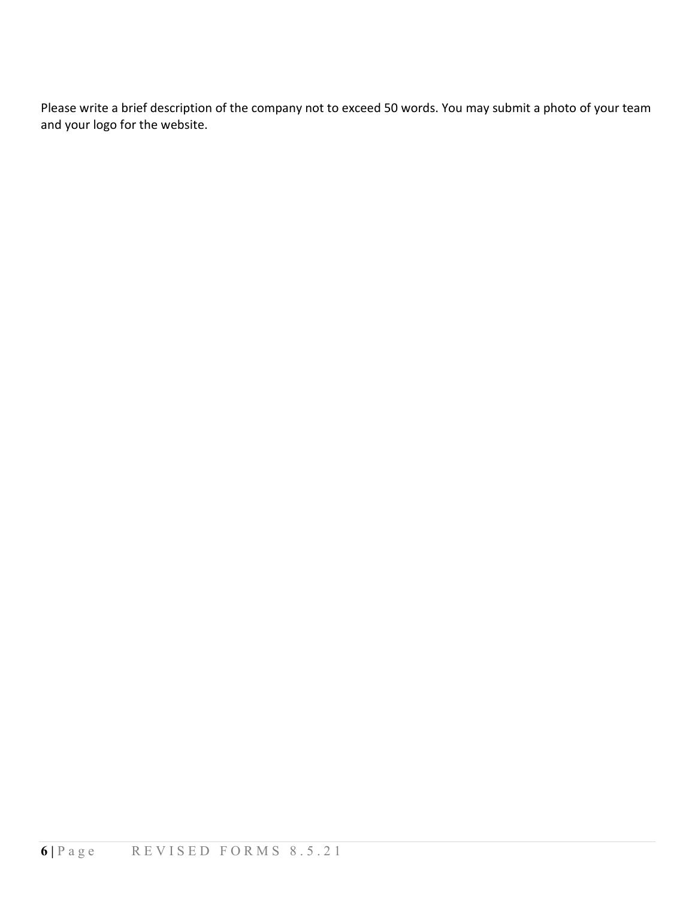Please write a brief description of the company not to exceed 50 words. You may submit a photo of your team and your logo for the website.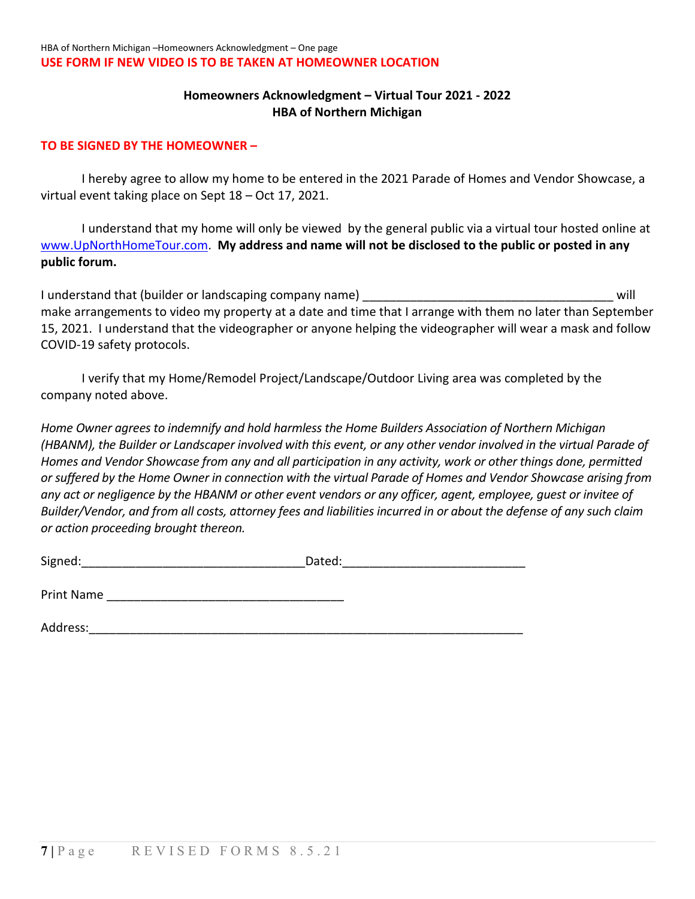#### **Homeowners Acknowledgment – Virtual Tour 2021 - 2022 HBA of Northern Michigan**

#### **TO BE SIGNED BY THE HOMEOWNER –**

I hereby agree to allow my home to be entered in the 2021 Parade of Homes and Vendor Showcase, a virtual event taking place on Sept 18 – Oct 17, 2021.

I understand that my home will only be viewed by the general public via a virtual tour hosted online at [www.UpNorthHomeTour.com.](http://www.upnorthhometour.com/) **My address and name will not be disclosed to the public or posted in any public forum.** 

I understand that (builder or landscaping company name) and the state of the state of the state of the will make arrangements to video my property at a date and time that I arrange with them no later than September 15, 2021. I understand that the videographer or anyone helping the videographer will wear a mask and follow COVID-19 safety protocols.

I verify that my Home/Remodel Project/Landscape/Outdoor Living area was completed by the company noted above.

*Home Owner agrees to indemnify and hold harmless the Home Builders Association of Northern Michigan (HBANM), the Builder or Landscaper involved with this event, or any other vendor involved in the virtual Parade of Homes and Vendor Showcase from any and all participation in any activity, work or other things done, permitted or suffered by the Home Owner in connection with the virtual Parade of Homes and Vendor Showcase arising from any act or negligence by the HBANM or other event vendors or any officer, agent, employee, guest or invitee of Builder/Vendor, and from all costs, attorney fees and liabilities incurred in or about the defense of any such claim or action proceeding brought thereon.*

| Signed: | Jaleu. |
|---------|--------|
|         |        |

| <b>Print Name</b> |  |
|-------------------|--|
|                   |  |

Address:\_\_\_\_\_\_\_\_\_\_\_\_\_\_\_\_\_\_\_\_\_\_\_\_\_\_\_\_\_\_\_\_\_\_\_\_\_\_\_\_\_\_\_\_\_\_\_\_\_\_\_\_\_\_\_\_\_\_\_\_\_\_\_\_